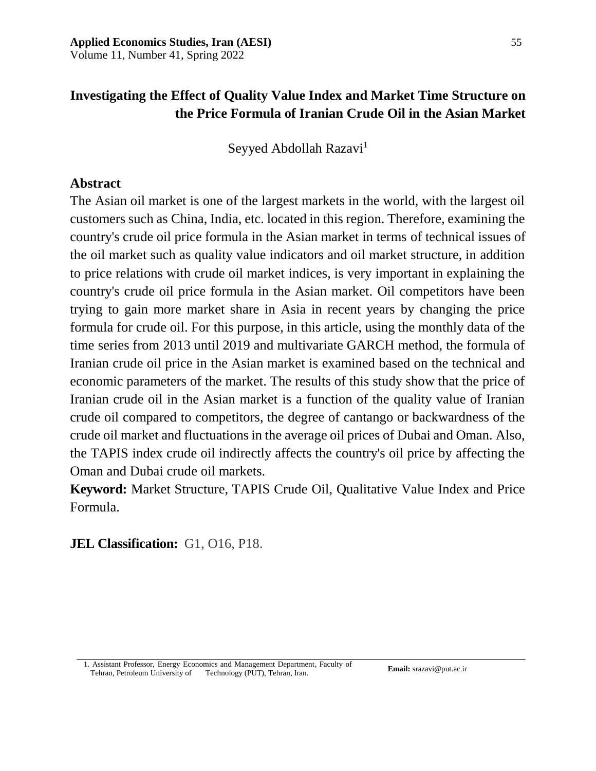# **Investigating the Effect of Quality Value Index and Market Time Structure on the Price Formula of Iranian Crude Oil in the Asian Market**

Seyyed Abdollah Razavi<sup>1</sup>

## **Abstract**

The Asian oil market is one of the largest markets in the world, with the largest oil customers such as China, India, etc. located in this region. Therefore, examining the country's crude oil price formula in the Asian market in terms of technical issues of the oil market such as quality value indicators and oil market structure, in addition to price relations with crude oil market indices, is very important in explaining the country's crude oil price formula in the Asian market. Oil competitors have been trying to gain more market share in Asia in recent years by changing the price formula for crude oil. For this purpose, in this article, using the monthly data of the time series from 2013 until 2019 and multivariate GARCH method, the formula of Iranian crude oil price in the Asian market is examined based on the technical and economic parameters of the market. The results of this study show that the price of Iranian crude oil in the Asian market is a function of the quality value of Iranian crude oil compared to competitors, the degree of cantango or backwardness of the crude oil market and fluctuations in the average oil prices of Dubai and Oman. Also, the TAPIS index crude oil indirectly affects the country's oil price by affecting the Oman and Dubai crude oil markets.

**Keyword:** Market Structure, TAPIS Crude Oil, Qualitative Value Index and Price Formula.

**JEL Classification:** G1, O16, P18.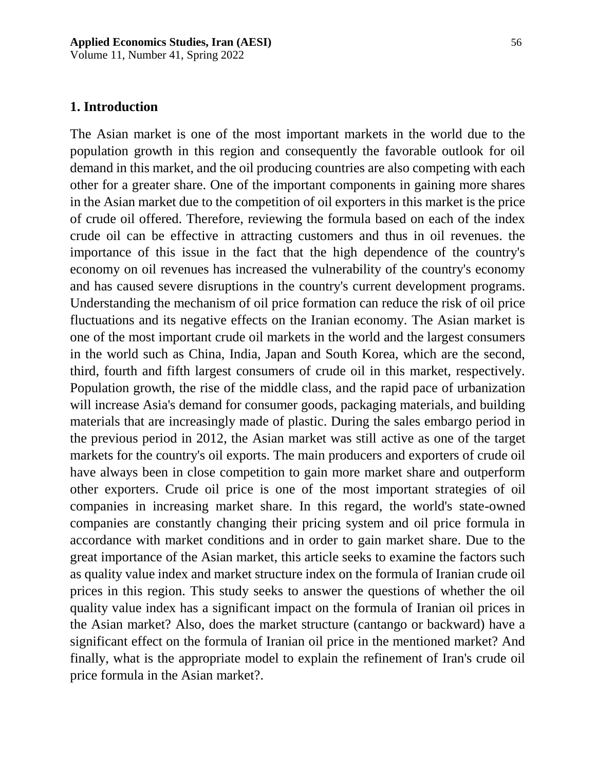Volume 11, Number 41, Spring 2022

### **1. Introduction**

The Asian market is one of the most important markets in the world due to the population growth in this region and consequently the favorable outlook for oil demand in this market, and the oil producing countries are also competing with each other for a greater share. One of the important components in gaining more shares in the Asian market due to the competition of oil exporters in this market is the price of crude oil offered. Therefore, reviewing the formula based on each of the index crude oil can be effective in attracting customers and thus in oil revenues. the importance of this issue in the fact that the high dependence of the country's economy on oil revenues has increased the vulnerability of the country's economy and has caused severe disruptions in the country's current development programs. Understanding the mechanism of oil price formation can reduce the risk of oil price fluctuations and its negative effects on the Iranian economy. The Asian market is one of the most important crude oil markets in the world and the largest consumers in the world such as China, India, Japan and South Korea, which are the second, third, fourth and fifth largest consumers of crude oil in this market, respectively. Population growth, the rise of the middle class, and the rapid pace of urbanization will increase Asia's demand for consumer goods, packaging materials, and building materials that are increasingly made of plastic. During the sales embargo period in the previous period in 2012, the Asian market was still active as one of the target markets for the country's oil exports. The main producers and exporters of crude oil have always been in close competition to gain more market share and outperform other exporters. Crude oil price is one of the most important strategies of oil companies in increasing market share. In this regard, the world's state-owned companies are constantly changing their pricing system and oil price formula in accordance with market conditions and in order to gain market share. Due to the great importance of the Asian market, this article seeks to examine the factors such as quality value index and market structure index on the formula of Iranian crude oil prices in this region. This study seeks to answer the questions of whether the oil quality value index has a significant impact on the formula of Iranian oil prices in the Asian market? Also, does the market structure (cantango or backward) have a significant effect on the formula of Iranian oil price in the mentioned market? And finally, what is the appropriate model to explain the refinement of Iran's crude oil price formula in the Asian market?.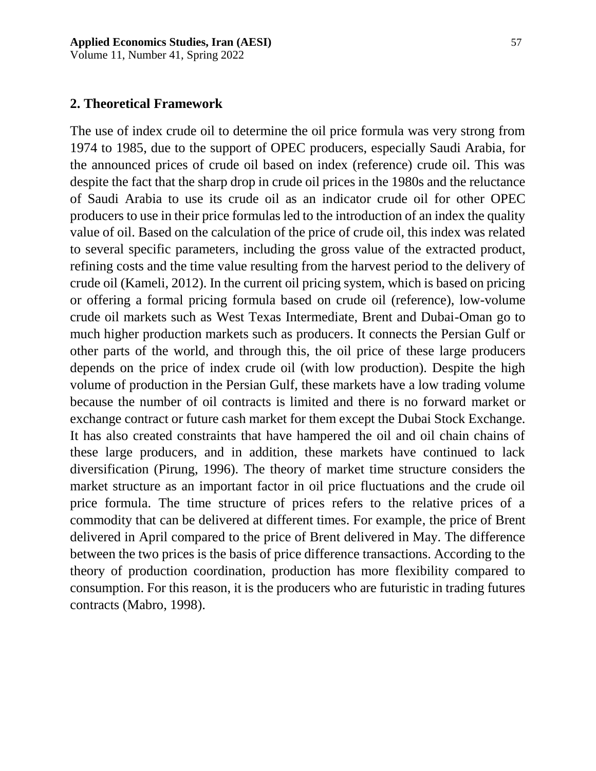Volume 11, Number 41, Spring 2022

## **2. Theoretical Framework**

The use of index crude oil to determine the oil price formula was very strong from 1974 to 1985, due to the support of OPEC producers, especially Saudi Arabia, for the announced prices of crude oil based on index (reference) crude oil. This was despite the fact that the sharp drop in crude oil prices in the 1980s and the reluctance of Saudi Arabia to use its crude oil as an indicator crude oil for other OPEC producers to use in their price formulas led to the introduction of an index the quality value of oil. Based on the calculation of the price of crude oil, this index was related to several specific parameters, including the gross value of the extracted product, refining costs and the time value resulting from the harvest period to the delivery of crude oil (Kameli, 2012). In the current oil pricing system, which is based on pricing or offering a formal pricing formula based on crude oil (reference), low-volume crude oil markets such as West Texas Intermediate, Brent and Dubai-Oman go to much higher production markets such as producers. It connects the Persian Gulf or other parts of the world, and through this, the oil price of these large producers depends on the price of index crude oil (with low production). Despite the high volume of production in the Persian Gulf, these markets have a low trading volume because the number of oil contracts is limited and there is no forward market or exchange contract or future cash market for them except the Dubai Stock Exchange. It has also created constraints that have hampered the oil and oil chain chains of these large producers, and in addition, these markets have continued to lack diversification (Pirung, 1996). The theory of market time structure considers the market structure as an important factor in oil price fluctuations and the crude oil price formula. The time structure of prices refers to the relative prices of a commodity that can be delivered at different times. For example, the price of Brent delivered in April compared to the price of Brent delivered in May. The difference between the two prices is the basis of price difference transactions. According to the theory of production coordination, production has more flexibility compared to consumption. For this reason, it is the producers who are futuristic in trading futures contracts (Mabro, 1998).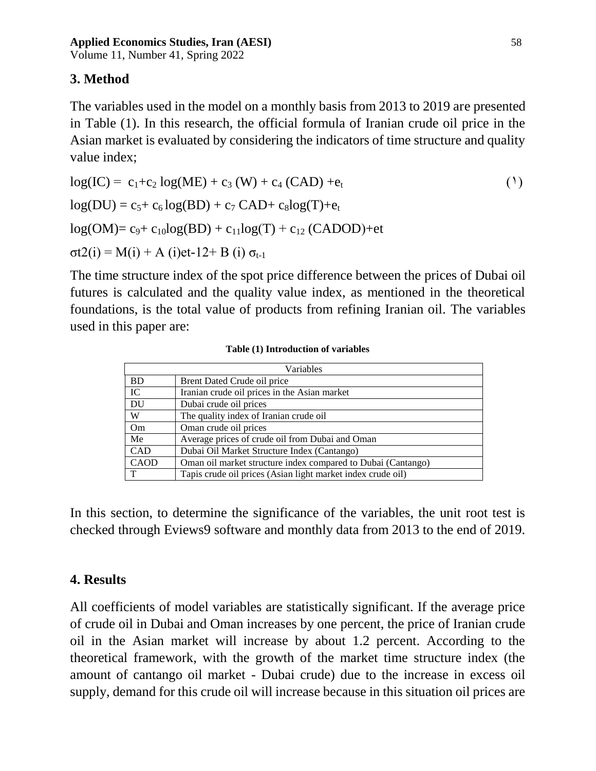Volume 11, Number 41, Spring 2022

# **3. Method**

The variables used in the model on a monthly basis from 2013 to 2019 are presented in Table (1). In this research, the official formula of Iranian crude oil price in the Asian market is evaluated by considering the indicators of time structure and quality value index;

$$
log(IC) = c_1 + c_2 log(ME) + c_3 (W) + c_4 (CAD) + e_t
$$
  
\n
$$
log(DU) = c_5 + c_6 log(BD) + c_7 CAD + c_8 log(T) + e_t
$$
  
\n
$$
log(OM) = c_9 + c_{10} log(BD) + c_{11} log(T) + c_{12} (CADOD) + et
$$
  
\n
$$
\sigma t2(i) = M(i) + A (i)et-12 + B (i) \sigma_{t-1}
$$
 (1)

The time structure index of the spot price difference between the prices of Dubai oil futures is calculated and the quality value index, as mentioned in the theoretical foundations, is the total value of products from refining Iranian oil. The variables used in this paper are:

| Variables |                                                              |
|-----------|--------------------------------------------------------------|
| <b>BD</b> | Brent Dated Crude oil price                                  |
| IC        | Iranian crude oil prices in the Asian market                 |
| <b>DU</b> | Dubai crude oil prices                                       |
| W         | The quality index of Iranian crude oil                       |
| Om        | Oman crude oil prices                                        |
| Me        | Average prices of crude oil from Dubai and Oman              |
| CAD       | Dubai Oil Market Structure Index (Cantango)                  |
| CAOD      | Oman oil market structure index compared to Dubai (Cantango) |
| T         | Tapis crude oil prices (Asian light market index crude oil)  |

### **Table (1) Introduction of variables**

In this section, to determine the significance of the variables, the unit root test is checked through Eviews9 software and monthly data from 2013 to the end of 2019.

## **4. Results**

All coefficients of model variables are statistically significant. If the average price of crude oil in Dubai and Oman increases by one percent, the price of Iranian crude oil in the Asian market will increase by about 1.2 percent. According to the theoretical framework, with the growth of the market time structure index (the amount of cantango oil market - Dubai crude) due to the increase in excess oil supply, demand for this crude oil will increase because in this situation oil prices are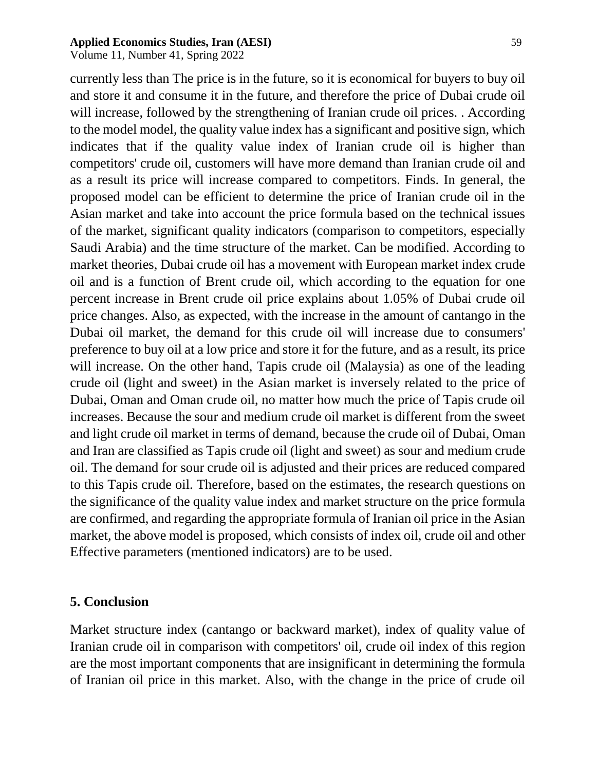Volume 11, Number 41, Spring 2022

currently less than The price is in the future, so it is economical for buyers to buy oil and store it and consume it in the future, and therefore the price of Dubai crude oil will increase, followed by the strengthening of Iranian crude oil prices. . According

to the model model, the quality value index has a significant and positive sign, which indicates that if the quality value index of Iranian crude oil is higher than competitors' crude oil, customers will have more demand than Iranian crude oil and as a result its price will increase compared to competitors. Finds. In general, the proposed model can be efficient to determine the price of Iranian crude oil in the Asian market and take into account the price formula based on the technical issues of the market, significant quality indicators (comparison to competitors, especially Saudi Arabia) and the time structure of the market. Can be modified. According to market theories, Dubai crude oil has a movement with European market index crude oil and is a function of Brent crude oil, which according to the equation for one percent increase in Brent crude oil price explains about 1.05% of Dubai crude oil price changes. Also, as expected, with the increase in the amount of cantango in the Dubai oil market, the demand for this crude oil will increase due to consumers' preference to buy oil at a low price and store it for the future, and as a result, its price will increase. On the other hand, Tapis crude oil (Malaysia) as one of the leading crude oil (light and sweet) in the Asian market is inversely related to the price of Dubai, Oman and Oman crude oil, no matter how much the price of Tapis crude oil increases. Because the sour and medium crude oil market is different from the sweet and light crude oil market in terms of demand, because the crude oil of Dubai, Oman and Iran are classified as Tapis crude oil (light and sweet) as sour and medium crude oil. The demand for sour crude oil is adjusted and their prices are reduced compared to this Tapis crude oil. Therefore, based on the estimates, the research questions on the significance of the quality value index and market structure on the price formula are confirmed, and regarding the appropriate formula of Iranian oil price in the Asian market, the above model is proposed, which consists of index oil, crude oil and other Effective parameters (mentioned indicators) are to be used.

## **5. Conclusion**

Market structure index (cantango or backward market), index of quality value of Iranian crude oil in comparison with competitors' oil, crude oil index of this region are the most important components that are insignificant in determining the formula of Iranian oil price in this market. Also, with the change in the price of crude oil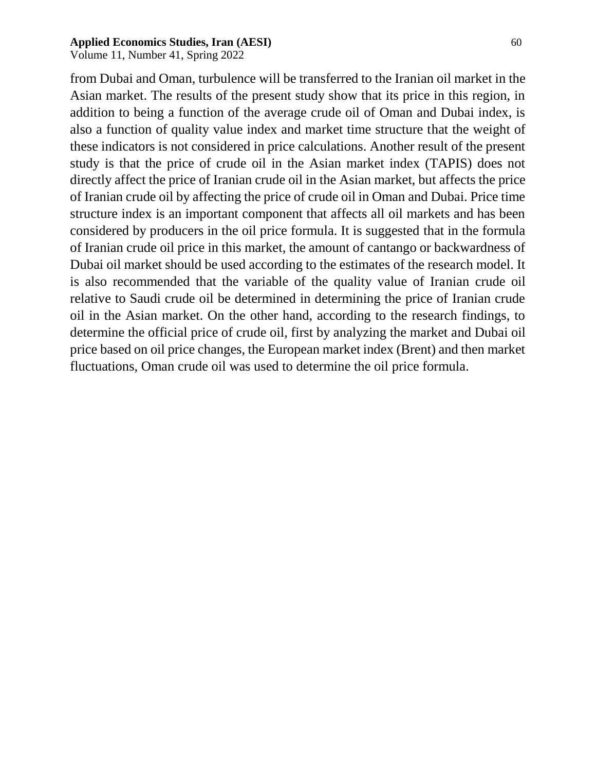Volume 11, Number 41, Spring 2022

from Dubai and Oman, turbulence will be transferred to the Iranian oil market in the Asian market. The results of the present study show that its price in this region, in addition to being a function of the average crude oil of Oman and Dubai index, is also a function of quality value index and market time structure that the weight of these indicators is not considered in price calculations. Another result of the present study is that the price of crude oil in the Asian market index (TAPIS) does not directly affect the price of Iranian crude oil in the Asian market, but affects the price of Iranian crude oil by affecting the price of crude oil in Oman and Dubai. Price time structure index is an important component that affects all oil markets and has been considered by producers in the oil price formula. It is suggested that in the formula of Iranian crude oil price in this market, the amount of cantango or backwardness of Dubai oil market should be used according to the estimates of the research model. It is also recommended that the variable of the quality value of Iranian crude oil relative to Saudi crude oil be determined in determining the price of Iranian crude oil in the Asian market. On the other hand, according to the research findings, to determine the official price of crude oil, first by analyzing the market and Dubai oil price based on oil price changes, the European market index (Brent) and then market fluctuations, Oman crude oil was used to determine the oil price formula.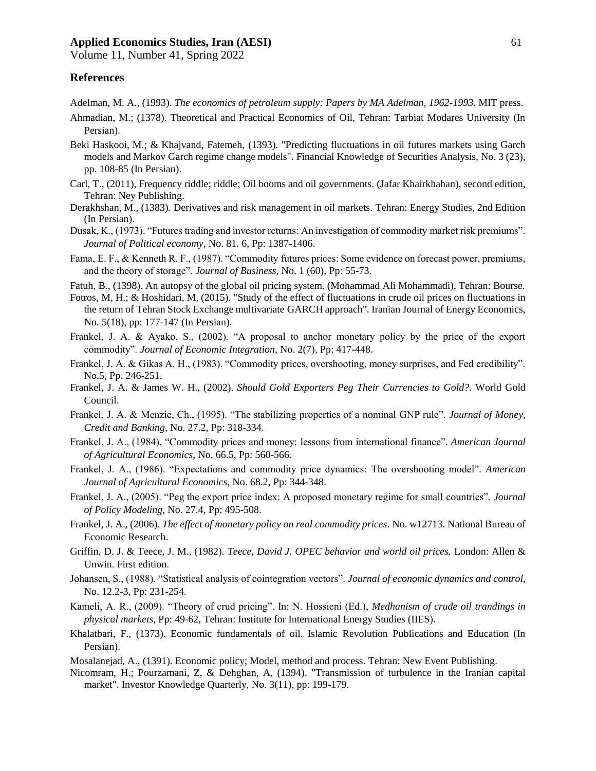Volume 11, Number 41, Spring 2022

#### **References**

Adelman, M. A., (1993). *The economics of petroleum supply: Papers by MA Adelman, 1962-1993.* MIT press.

- Ahmadian, M.; (1378). Theoretical and Practical Economics of Oil, Tehran: Tarbiat Modares University (In Persian).
- Beki Haskooi, M.; & Khajvand, Fatemeh, (1393). "Predicting fluctuations in oil futures markets using Garch models and Markov Garch regime change models". Financial Knowledge of Securities Analysis, No. 3 (23), pp. 108-85 (In Persian).
- Carl, T., (2011), Frequency riddle; riddle; Oil booms and oil governments. (Jafar Khairkhahan), second edition, Tehran: Ney Publishing.
- Derakhshan, M., (1383). Derivatives and risk management in oil markets. Tehran: Energy Studies, 2nd Edition (In Persian).
- Dusak, K., (1973). "Futures trading and investor returns: An investigation of commodity market risk premiums". *Journal of Political economy*, No. 81. 6, Pp: 1387-1406.
- Fama, E. F., & Kenneth R. F., (1987). "Commodity futures prices: Some evidence on forecast power, premiums, and the theory of storage". *Journal of Business*, No. 1 (60), Pp: 55-73.
- Fatuh, B., (1398). An autopsy of the global oil pricing system. (Mohammad Ali Mohammadi), Tehran: Bourse.
- Fotros, M, H.; & Hoshidari, M, (2015). "Study of the effect of fluctuations in crude oil prices on fluctuations in the return of Tehran Stock Exchange multivariate GARCH approach". Iranian Journal of Energy Economics, No. 5(18), pp: 177-147 (In Persian).
- Frankel, J. A. & Ayako, S., (2002). "A proposal to anchor monetary policy by the price of the export commodity". *Journal of Economic Integration*, No. 2(7), Pp: 417-448.
- Frankel, J. A. & Gikas A. H., (1983). "Commodity prices, overshooting, money surprises, and Fed credibility". No.5, Pp. 246-251.
- Frankel, J. A. & James W. H., (2002). *Should Gold Exporters Peg Their Currencies to Gold?.* World Gold Council.
- Frankel, J. A. & Menzie, Ch., (1995). "The stabilizing properties of a nominal GNP rule". *Journal of Money, Credit and Banking*, No. 27.2, Pp: 318-334.
- Frankel, J. A., (1984). "Commodity prices and money: lessons from international finance". *American Journal of Agricultural Economics*, No. 66.5, Pp: 560-566.
- Frankel, J. A., (1986). "Expectations and commodity price dynamics: The overshooting model". *American Journal of Agricultural Economics*, No. 68.2, Pp: 344-348.
- Frankel, J. A., (2005). "Peg the export price index: A proposed monetary regime for small countries". *Journal of Policy Modeling*, No. 27.4, Pp: 495-508.
- Frankel, J. A., (2006). *The effect of monetary policy on real commodity prices*. No. w12713. National Bureau of Economic Research.
- Griffin, D. J. & Teece, J. M., (1982). *Teece, David J. OPEC behavior and world oil prices.* London: Allen & Unwin. First edition.
- Johansen, S., (1988). "Statistical analysis of cointegration vectors". *Journal of economic dynamics and control*, No. 12.2-3, Pp: 231-254.
- Kameli, A. R., (2009). "Theory of crud pricing". In: N. Hossieni (Ed.), *Medhanism of crude oil trandings in physical markets,* Pp: 49-62, Tehran: Institute for International Energy Studies (IIES).
- Khalatbari, F., (1373). Economic fundamentals of oil. Islamic Revolution Publications and Education (In Persian).
- Mosalanejad, A., (1391). Economic policy; Model, method and process. Tehran: New Event Publishing.
- Nicomram, H.; Pourzamani, Z, & Dehghan, A, (1394). "Transmission of turbulence in the Iranian capital market". Investor Knowledge Quarterly, No. 3(11), pp: 199-179.